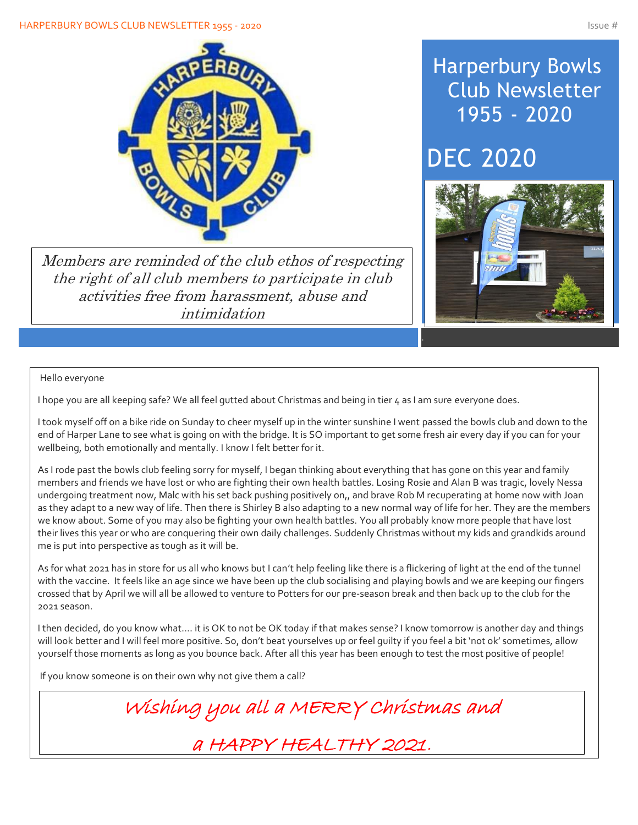#### HARPERBURY BOWLS CLUB NEWSLETTER 1955 - 2020 ISSUE # 1978 1979 ISSUE # 1989 ISSUE # 1989 ISSUE # 1989 ISSUE # 1



Members are reminded of the club ethos of respecting the right of all club members to participate in club activities free from harassment, abuse and intimidation

### Harperbury Bowls Club Newsletter 1955 - 2020

## DEC 2020



#### Hello everyone

I hope you are all keeping safe? We all feel gutted about Christmas and being in tier 4 as I am sure everyone does.

I took myself off on a bike ride on Sunday to cheer myself up in the winter sunshine I went passed the bowls club and down to the end of Harper Lane to see what is going on with the bridge. It is SO important to get some fresh air every day if you can for your wellbeing, both emotionally and mentally. I know I felt better for it.

As I rode past the bowls club feeling sorry for myself, I began thinking about everything that has gone on this year and family members and friends we have lost or who are fighting their own health battles. Losing Rosie and Alan B was tragic, lovely Nessa undergoing treatment now, Malc with his set back pushing positively on,, and brave Rob M recuperating at home now with Joan as they adapt to a new way of life. Then there is Shirley B also adapting to a new normal way of life for her. They are the members we know about. Some of you may also be fighting your own health battles. You all probably know more people that have lost their lives this year or who are conquering their own daily challenges. Suddenly Christmas without my kids and grandkids around me is put into perspective as tough as it will be.

As for what 2021 has in store for us all who knows but I can't help feeling like there is a flickering of light at the end of the tunnel with the vaccine. It feels like an age since we have been up the club socialising and playing bowls and we are keeping our fingers crossed that by April we will all be allowed to venture to Potters for our pre-season break and then back up to the club for the 2021 season.

I then decided, do you know what…. it is OK to not be OK today if that makes sense? I know tomorrow is another day and things will look better and I will feel more positive. So, don't beat yourselves up or feel guilty if you feel a bit 'not ok' sometimes, allow yourself those moments as long as you bounce back. After all this year has been enough to test the most positive of people!

If you know someone is on their own why not give them a call?

Wishing you all a MERRY Christmas and

a HAPPY HEALTHY 2021.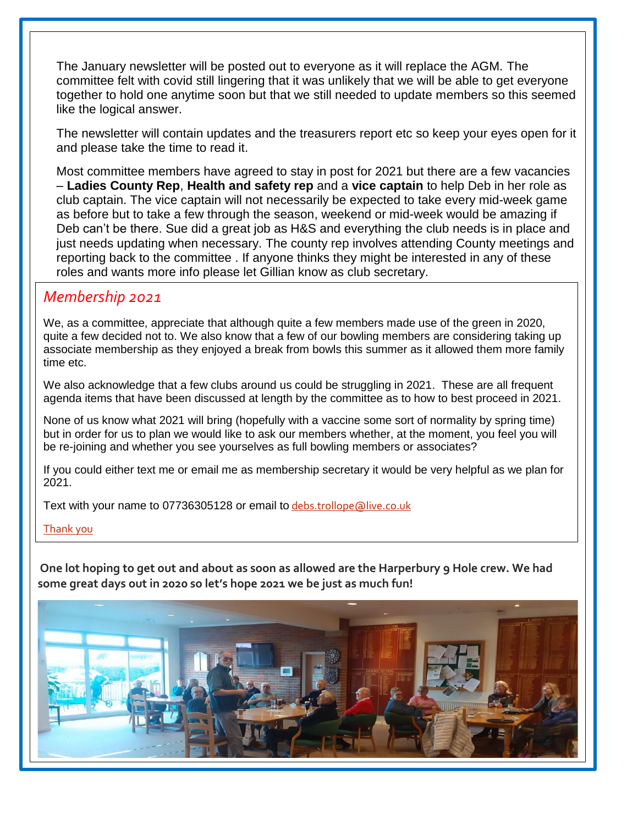The January newsletter will be posted out to everyone as it will replace the AGM. The committee felt with covid still lingering that it was unlikely that we will be able to get everyone together to hold one anytime soon but that we still needed to update members so this seemed like the logical answer.

The newsletter will contain updates and the treasurers report etc so keep your eyes open for it and please take the time to read it.

Most committee members have agreed to stay in post for 2021 but there are a few vacancies – **Ladies County Rep**, **Health and safety rep** and a **vice captain** to help Deb in her role as club captain. The vice captain will not necessarily be expected to take every mid-week game as before but to take a few through the season, weekend or mid-week would be amazing if Deb can't be there. Sue did a great job as H&S and everything the club needs is in place and just needs updating when necessary. The county rep involves attending County meetings and reporting back to the committee . If anyone thinks they might be interested in any of these roles and wants more info please let Gillian know as club secretary.

#### *Membership 2021*

Í

We, as a committee, appreciate that although quite a few members made use of the green in 2020, quite a few decided not to. We also know that a few of our bowling members are considering taking up associate membership as they enjoyed a break from bowls this summer as it allowed them more family time etc.

We also acknowledge that a few clubs around us could be struggling in 2021. These are all frequent agenda items that have been discussed at length by the committee as to how to best proceed in 2021.

None of us know what 2021 will bring (hopefully with a vaccine some sort of normality by spring time) but in order for us to plan we would like to ask our members whether, at the moment, you feel you will be re-joining and whether you see yourselves as full bowling members or associates?

If you could either text me or email me as membership secretary it would be very helpful as we plan for 2021.

Text with your name to 07736305128 or email to [debs.trollope@live.co.uk](mailto:debs.trollope@live.co.uk)

Thank you

**One lot hoping to get out and about as soon as allowed are the Harperbury 9 Hole crew. We had some great days out in 2020 so let's hope 2021 we be just as much fun!**